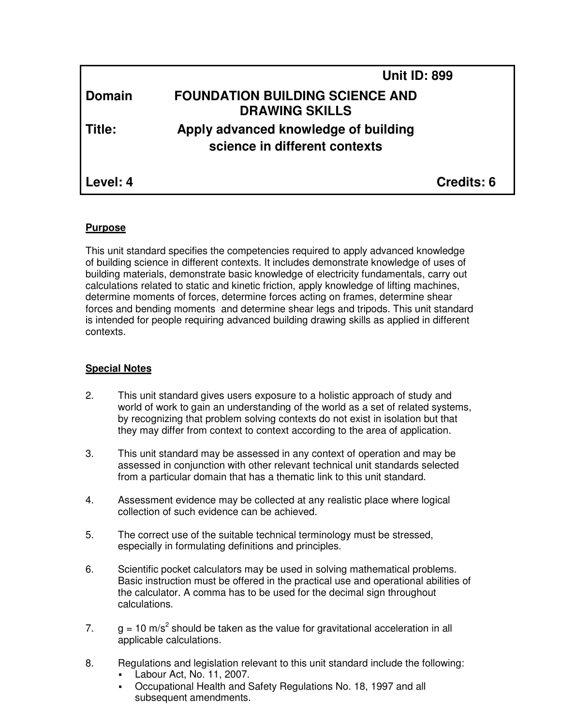|               | <b>Unit ID: 899</b>                                                   |
|---------------|-----------------------------------------------------------------------|
| <b>Domain</b> | <b>FOUNDATION BUILDING SCIENCE AND</b><br><b>DRAWING SKILLS</b>       |
| Title:        | Apply advanced knowledge of building<br>science in different contexts |
| Level: 4      | Credits: 6                                                            |

## **Purpose**

This unit standard specifies the competencies required to apply advanced knowledge of building science in different contexts. It includes demonstrate knowledge of uses of building materials, demonstrate basic knowledge of electricity fundamentals, carry out calculations related to static and kinetic friction, apply knowledge of lifting machines, determine moments of forces, determine forces acting on frames, determine shear forces and bending moments and determine shear legs and tripods. This unit standard is intended for people requiring advanced building drawing skills as applied in different contexts.

## **Special Notes**

- 2. This unit standard gives users exposure to a holistic approach of study and world of work to gain an understanding of the world as a set of related systems, by recognizing that problem solving contexts do not exist in isolation but that they may differ from context to context according to the area of application.
- 3. This unit standard may be assessed in any context of operation and may be assessed in conjunction with other relevant technical unit standards selected from a particular domain that has a thematic link to this unit standard.
- 4. Assessment evidence may be collected at any realistic place where logical collection of such evidence can be achieved.
- 5. The correct use of the suitable technical terminology must be stressed, especially in formulating definitions and principles.
- 6. Scientific pocket calculators may be used in solving mathematical problems. Basic instruction must be offered in the practical use and operational abilities of the calculator. A comma has to be used for the decimal sign throughout calculations.
- 7.  $g = 10 \text{ m/s}^2$  should be taken as the value for gravitational acceleration in all applicable calculations.
- 8. Regulations and legislation relevant to this unit standard include the following:
	- Labour Act, No. 11, 2007.
	- Occupational Health and Safety Regulations No. 18, 1997 and all subsequent amendments.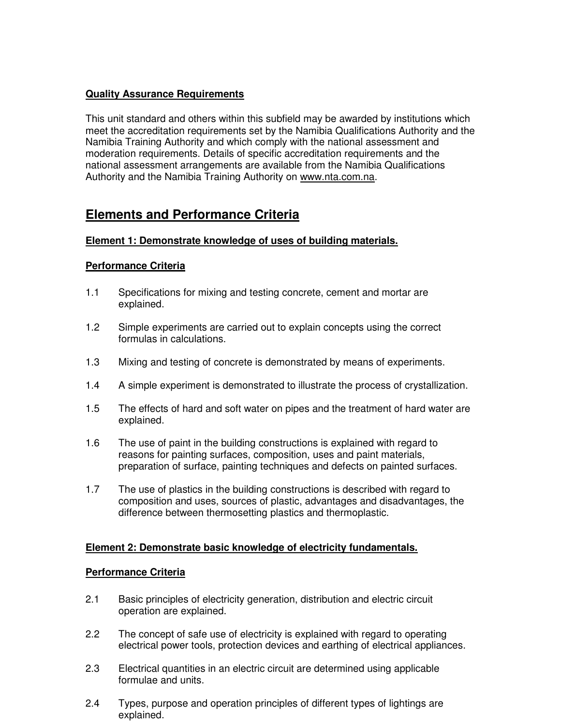## **Quality Assurance Requirements**

This unit standard and others within this subfield may be awarded by institutions which meet the accreditation requirements set by the Namibia Qualifications Authority and the Namibia Training Authority and which comply with the national assessment and moderation requirements. Details of specific accreditation requirements and the national assessment arrangements are available from the Namibia Qualifications Authority and the Namibia Training Authority on www.nta.com.na.

## **Elements and Performance Criteria**

## **Element 1: Demonstrate knowledge of uses of building materials.**

## **Performance Criteria**

- 1.1 Specifications for mixing and testing concrete, cement and mortar are explained.
- 1.2 Simple experiments are carried out to explain concepts using the correct formulas in calculations.
- 1.3 Mixing and testing of concrete is demonstrated by means of experiments.
- 1.4 A simple experiment is demonstrated to illustrate the process of crystallization.
- 1.5 The effects of hard and soft water on pipes and the treatment of hard water are explained.
- 1.6 The use of paint in the building constructions is explained with regard to reasons for painting surfaces, composition, uses and paint materials, preparation of surface, painting techniques and defects on painted surfaces.
- 1.7 The use of plastics in the building constructions is described with regard to composition and uses, sources of plastic, advantages and disadvantages, the difference between thermosetting plastics and thermoplastic.

## **Element 2: Demonstrate basic knowledge of electricity fundamentals.**

## **Performance Criteria**

- 2.1 Basic principles of electricity generation, distribution and electric circuit operation are explained.
- 2.2 The concept of safe use of electricity is explained with regard to operating electrical power tools, protection devices and earthing of electrical appliances.
- 2.3 Electrical quantities in an electric circuit are determined using applicable formulae and units.
- 2.4 Types, purpose and operation principles of different types of lightings are explained.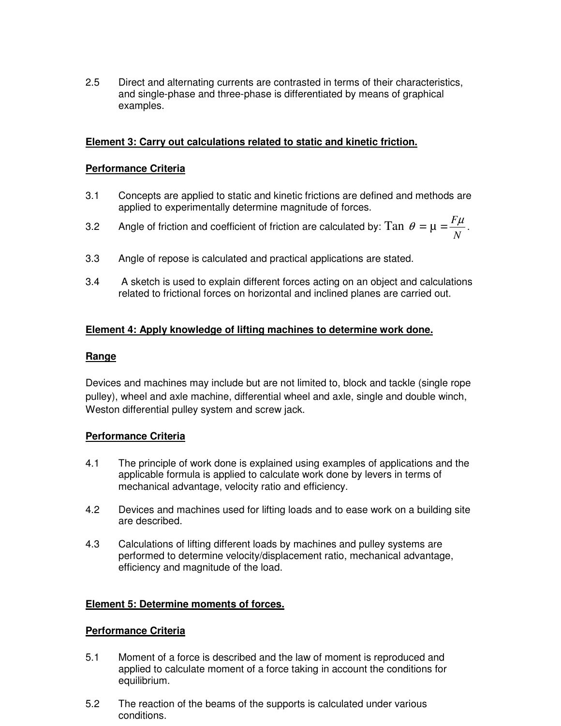2.5 Direct and alternating currents are contrasted in terms of their characteristics, and single-phase and three-phase is differentiated by means of graphical examples.

## **Element 3: Carry out calculations related to static and kinetic friction.**

## **Performance Criteria**

- 3.1 Concepts are applied to static and kinetic frictions are defined and methods are applied to experimentally determine magnitude of forces.
- 3.2 Angle of friction and coefficient of friction are calculated by: Tan  $\theta = \mu = \frac{P}{N}$  $\frac{F\mu}{\mu}$ .
- 3.3 Angle of repose is calculated and practical applications are stated.
- 3.4 A sketch is used to explain different forces acting on an object and calculations related to frictional forces on horizontal and inclined planes are carried out.

## **Element 4: Apply knowledge of lifting machines to determine work done.**

## **Range**

Devices and machines may include but are not limited to, block and tackle (single rope pulley), wheel and axle machine, differential wheel and axle, single and double winch, Weston differential pulley system and screw jack.

## **Performance Criteria**

- 4.1 The principle of work done is explained using examples of applications and the applicable formula is applied to calculate work done by levers in terms of mechanical advantage, velocity ratio and efficiency.
- 4.2 Devices and machines used for lifting loads and to ease work on a building site are described.
- 4.3 Calculations of lifting different loads by machines and pulley systems are performed to determine velocity/displacement ratio, mechanical advantage, efficiency and magnitude of the load.

## **Element 5: Determine moments of forces.**

## **Performance Criteria**

- 5.1 Moment of a force is described and the law of moment is reproduced and applied to calculate moment of a force taking in account the conditions for equilibrium.
- 5.2 The reaction of the beams of the supports is calculated under various conditions.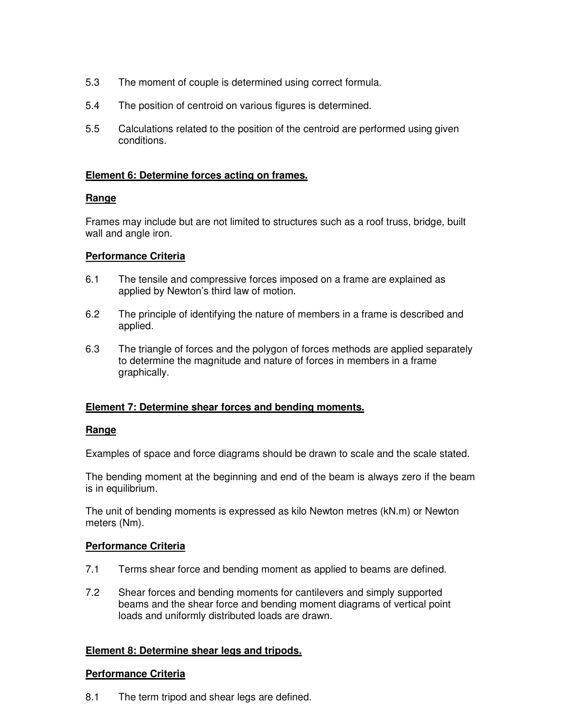- 5.3 The moment of couple is determined using correct formula.
- 5.4 The position of centroid on various figures is determined.
- 5.5 Calculations related to the position of the centroid are performed using given conditions.

#### **Element 6: Determine forces acting on frames.**

#### **Range**

Frames may include but are not limited to structures such as a roof truss, bridge, built wall and angle iron.

#### **Performance Criteria**

- 6.1 The tensile and compressive forces imposed on a frame are explained as applied by Newton's third law of motion.
- 6.2 The principle of identifying the nature of members in a frame is described and applied.
- 6.3 The triangle of forces and the polygon of forces methods are applied separately to determine the magnitude and nature of forces in members in a frame graphically.

## **Element 7: Determine shear forces and bending moments.**

## **Range**

Examples of space and force diagrams should be drawn to scale and the scale stated.

The bending moment at the beginning and end of the beam is always zero if the beam is in equilibrium.

The unit of bending moments is expressed as kilo Newton metres (kN.m) or Newton meters (Nm).

## **Performance Criteria**

- 7.1 Terms shear force and bending moment as applied to beams are defined.
- 7.2 Shear forces and bending moments for cantilevers and simply supported beams and the shear force and bending moment diagrams of vertical point loads and uniformly distributed loads are drawn.

## **Element 8: Determine shear legs and tripods.**

#### **Performance Criteria**

8.1 The term tripod and shear legs are defined.